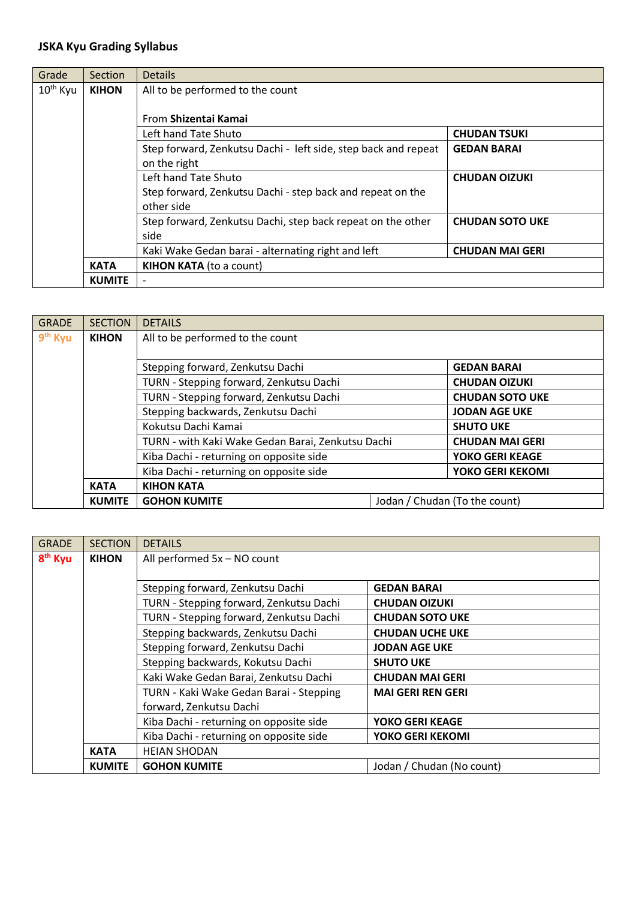## **JSKA Kyu Grading Syllabus**

| Grade                | <b>Section</b>                         | <b>Details</b>                                                                        |  |  |
|----------------------|----------------------------------------|---------------------------------------------------------------------------------------|--|--|
| 10 <sup>th</sup> Kyu | <b>KIHON</b>                           | All to be performed to the count                                                      |  |  |
|                      |                                        |                                                                                       |  |  |
|                      |                                        | From Shizentai Kamai                                                                  |  |  |
|                      |                                        | Left hand Tate Shuto<br><b>CHUDAN TSUKI</b>                                           |  |  |
|                      |                                        | Step forward, Zenkutsu Dachi - left side, step back and repeat<br><b>GEDAN BARAI</b>  |  |  |
|                      |                                        | on the right                                                                          |  |  |
|                      |                                        | Left hand Tate Shuto<br><b>CHUDAN OIZUKI</b>                                          |  |  |
|                      |                                        | Step forward, Zenkutsu Dachi - step back and repeat on the                            |  |  |
|                      |                                        | other side                                                                            |  |  |
|                      |                                        | Step forward, Zenkutsu Dachi, step back repeat on the other<br><b>CHUDAN SOTO UKE</b> |  |  |
|                      |                                        | side                                                                                  |  |  |
|                      |                                        | Kaki Wake Gedan barai - alternating right and left<br><b>CHUDAN MAI GERI</b>          |  |  |
|                      | KIHON KATA (to a count)<br><b>KATA</b> |                                                                                       |  |  |
| <b>KUMITE</b>        |                                        |                                                                                       |  |  |

| <b>GRADE</b>        | <b>SECTION</b> | <b>DETAILS</b>                                                              |                               |  |
|---------------------|----------------|-----------------------------------------------------------------------------|-------------------------------|--|
| 9 <sup>th</sup> Kyu | <b>KIHON</b>   | All to be performed to the count                                            |                               |  |
|                     |                |                                                                             |                               |  |
|                     |                | Stepping forward, Zenkutsu Dachi                                            | <b>GEDAN BARAI</b>            |  |
|                     |                | TURN - Stepping forward, Zenkutsu Dachi<br><b>CHUDAN OIZUKI</b>             |                               |  |
|                     |                | TURN - Stepping forward, Zenkutsu Dachi<br><b>CHUDAN SOTO UKE</b>           |                               |  |
|                     |                | Stepping backwards, Zenkutsu Dachi<br><b>JODAN AGE UKE</b>                  |                               |  |
|                     |                | Kokutsu Dachi Kamai<br><b>SHUTO UKE</b>                                     |                               |  |
|                     |                | TURN - with Kaki Wake Gedan Barai, Zenkutsu Dachi<br><b>CHUDAN MAI GERI</b> |                               |  |
|                     |                | Kiba Dachi - returning on opposite side<br><b>YOKO GERI KEAGE</b>           |                               |  |
|                     |                | Kiba Dachi - returning on opposite side<br>YOKO GERI KEKOMI                 |                               |  |
|                     | <b>KATA</b>    | <b>KIHON KATA</b>                                                           |                               |  |
|                     | <b>KUMITE</b>  | <b>GOHON KUMITE</b>                                                         | Jodan / Chudan (To the count) |  |

| <b>GRADE</b>        | <b>SECTION</b> | <b>DETAILS</b>                          |                           |
|---------------------|----------------|-----------------------------------------|---------------------------|
| 8 <sup>th</sup> Kyu | <b>KIHON</b>   | All performed 5x - NO count             |                           |
|                     |                |                                         |                           |
|                     |                | Stepping forward, Zenkutsu Dachi        | <b>GEDAN BARAI</b>        |
|                     |                | TURN - Stepping forward, Zenkutsu Dachi | <b>CHUDAN OIZUKI</b>      |
|                     |                | TURN - Stepping forward, Zenkutsu Dachi | <b>CHUDAN SOTO UKE</b>    |
|                     |                | Stepping backwards, Zenkutsu Dachi      | <b>CHUDAN UCHE UKE</b>    |
|                     |                | Stepping forward, Zenkutsu Dachi        | <b>JODAN AGE UKE</b>      |
|                     |                | Stepping backwards, Kokutsu Dachi       | <b>SHUTO UKE</b>          |
|                     |                | Kaki Wake Gedan Barai, Zenkutsu Dachi   | <b>CHUDAN MAI GERI</b>    |
|                     |                | TURN - Kaki Wake Gedan Barai - Stepping | <b>MAI GERI REN GERI</b>  |
|                     |                | forward, Zenkutsu Dachi                 |                           |
|                     |                | Kiba Dachi - returning on opposite side | <b>YOKO GERI KEAGE</b>    |
|                     |                | Kiba Dachi - returning on opposite side | YOKO GERI KEKOMI          |
|                     | <b>KATA</b>    | <b>HEIAN SHODAN</b>                     |                           |
|                     | <b>KUMITE</b>  | <b>GOHON KUMITE</b>                     | Jodan / Chudan (No count) |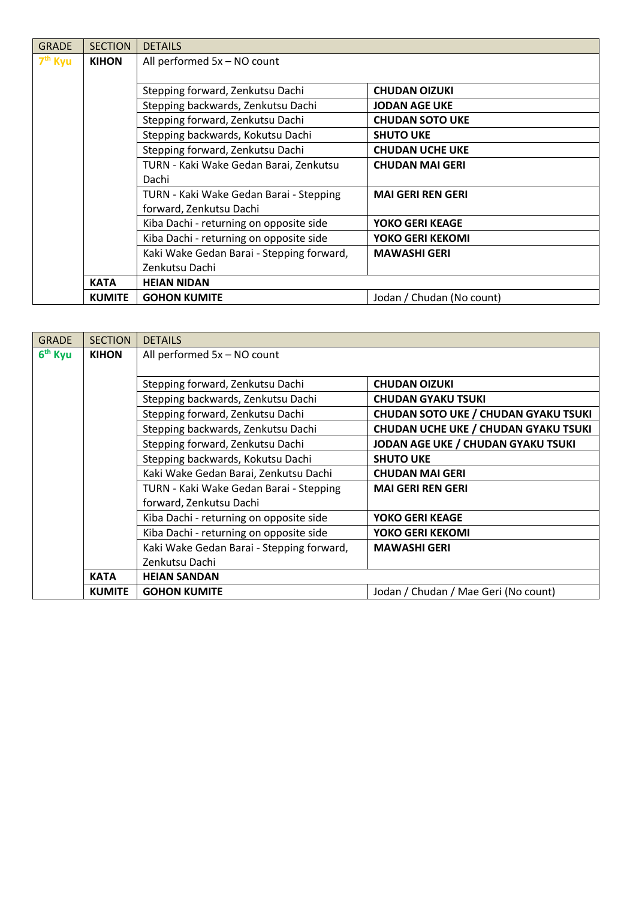| <b>GRADE</b>        | <b>SECTION</b> | <b>DETAILS</b>                            |                           |
|---------------------|----------------|-------------------------------------------|---------------------------|
| 7 <sup>th</sup> Kyu | <b>KIHON</b>   | All performed $5x - NO$ count             |                           |
|                     |                |                                           |                           |
|                     |                | Stepping forward, Zenkutsu Dachi          | <b>CHUDAN OIZUKI</b>      |
|                     |                | Stepping backwards, Zenkutsu Dachi        | <b>JODAN AGE UKE</b>      |
|                     |                | Stepping forward, Zenkutsu Dachi          | <b>CHUDAN SOTO UKE</b>    |
|                     |                | Stepping backwards, Kokutsu Dachi         | <b>SHUTO UKE</b>          |
|                     |                | Stepping forward, Zenkutsu Dachi          | <b>CHUDAN UCHE UKE</b>    |
|                     |                | TURN - Kaki Wake Gedan Barai, Zenkutsu    | <b>CHUDAN MAI GERI</b>    |
|                     |                | Dachi                                     |                           |
|                     |                | TURN - Kaki Wake Gedan Barai - Stepping   | <b>MAI GERI REN GERI</b>  |
|                     |                | forward, Zenkutsu Dachi                   |                           |
|                     |                | Kiba Dachi - returning on opposite side   | <b>YOKO GERI KEAGE</b>    |
|                     |                | Kiba Dachi - returning on opposite side   | YOKO GERI KEKOMI          |
|                     |                | Kaki Wake Gedan Barai - Stepping forward, | <b>MAWASHI GERI</b>       |
|                     |                | Zenkutsu Dachi                            |                           |
|                     | <b>KATA</b>    | <b>HEIAN NIDAN</b>                        |                           |
|                     | <b>KUMITE</b>  | <b>GOHON KUMITE</b>                       | Jodan / Chudan (No count) |

| <b>GRADE</b>        | <b>SECTION</b> | <b>DETAILS</b>                            |                                             |
|---------------------|----------------|-------------------------------------------|---------------------------------------------|
| 6 <sup>th</sup> Kyu | <b>KIHON</b>   | All performed 5x - NO count               |                                             |
|                     |                |                                           |                                             |
|                     |                | Stepping forward, Zenkutsu Dachi          | <b>CHUDAN OIZUKI</b>                        |
|                     |                | Stepping backwards, Zenkutsu Dachi        | <b>CHUDAN GYAKU TSUKI</b>                   |
|                     |                | Stepping forward, Zenkutsu Dachi          | <b>CHUDAN SOTO UKE / CHUDAN GYAKU TSUKI</b> |
|                     |                | Stepping backwards, Zenkutsu Dachi        | <b>CHUDAN UCHE UKE / CHUDAN GYAKU TSUKI</b> |
|                     |                | Stepping forward, Zenkutsu Dachi          | JODAN AGE UKE / CHUDAN GYAKU TSUKI          |
|                     |                | Stepping backwards, Kokutsu Dachi         | <b>SHUTO UKE</b>                            |
|                     |                | Kaki Wake Gedan Barai, Zenkutsu Dachi     | <b>CHUDAN MAI GERI</b>                      |
|                     |                | TURN - Kaki Wake Gedan Barai - Stepping   | <b>MAI GERI REN GERI</b>                    |
|                     |                | forward, Zenkutsu Dachi                   |                                             |
|                     |                | Kiba Dachi - returning on opposite side   | <b>YOKO GERI KEAGE</b>                      |
|                     |                | Kiba Dachi - returning on opposite side   | YOKO GERI KEKOMI                            |
|                     |                | Kaki Wake Gedan Barai - Stepping forward, | <b>MAWASHI GERI</b>                         |
|                     |                | Zenkutsu Dachi                            |                                             |
|                     | <b>KATA</b>    | <b>HEIAN SANDAN</b>                       |                                             |
|                     | <b>KUMITE</b>  | <b>GOHON KUMITE</b>                       | Jodan / Chudan / Mae Geri (No count)        |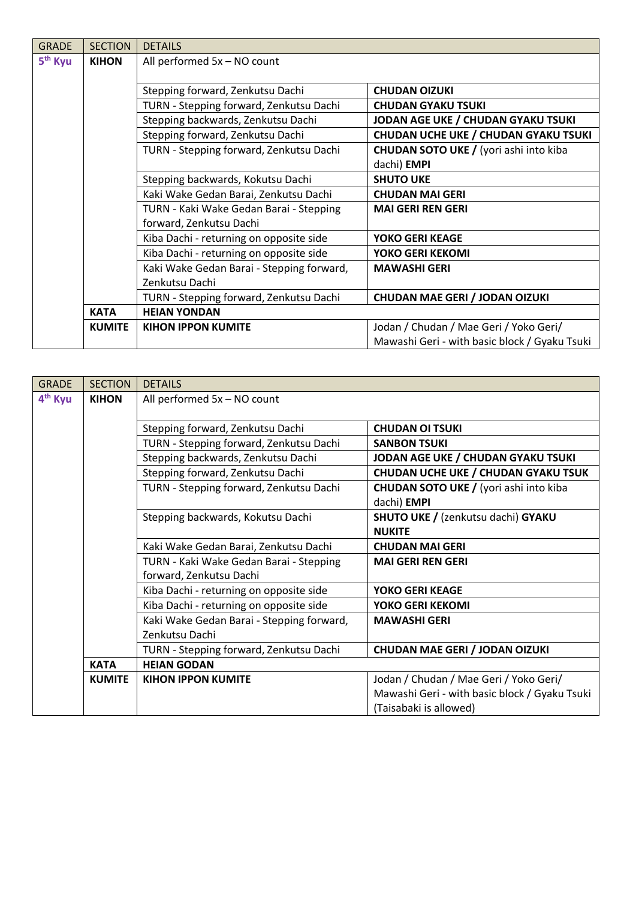| <b>GRADE</b>        | <b>SECTION</b> | <b>DETAILS</b>                            |                                               |
|---------------------|----------------|-------------------------------------------|-----------------------------------------------|
| 5 <sup>th</sup> Kyu | <b>KIHON</b>   | All performed 5x - NO count               |                                               |
|                     |                |                                           |                                               |
|                     |                | Stepping forward, Zenkutsu Dachi          | <b>CHUDAN OIZUKI</b>                          |
|                     |                | TURN - Stepping forward, Zenkutsu Dachi   | <b>CHUDAN GYAKU TSUKI</b>                     |
|                     |                | Stepping backwards, Zenkutsu Dachi        | JODAN AGE UKE / CHUDAN GYAKU TSUKI            |
|                     |                | Stepping forward, Zenkutsu Dachi          | <b>CHUDAN UCHE UKE / CHUDAN GYAKU TSUKI</b>   |
|                     |                | TURN - Stepping forward, Zenkutsu Dachi   | CHUDAN SOTO UKE / (yori ashi into kiba        |
|                     |                |                                           | dachi) EMPI                                   |
|                     |                | Stepping backwards, Kokutsu Dachi         | <b>SHUTO UKE</b>                              |
|                     |                | Kaki Wake Gedan Barai, Zenkutsu Dachi     | <b>CHUDAN MAI GERI</b>                        |
|                     |                | TURN - Kaki Wake Gedan Barai - Stepping   | <b>MAI GERI REN GERI</b>                      |
|                     |                | forward, Zenkutsu Dachi                   |                                               |
|                     |                | Kiba Dachi - returning on opposite side   | <b>YOKO GERI KEAGE</b>                        |
|                     |                | Kiba Dachi - returning on opposite side   | YOKO GERI KEKOMI                              |
|                     |                | Kaki Wake Gedan Barai - Stepping forward, | <b>MAWASHI GERI</b>                           |
|                     |                | Zenkutsu Dachi                            |                                               |
|                     |                | TURN - Stepping forward, Zenkutsu Dachi   | <b>CHUDAN MAE GERI / JODAN OIZUKI</b>         |
|                     | <b>KATA</b>    | <b>HEIAN YONDAN</b>                       |                                               |
|                     | <b>KUMITE</b>  | <b>KIHON IPPON KUMITE</b>                 | Jodan / Chudan / Mae Geri / Yoko Geri/        |
|                     |                |                                           | Mawashi Geri - with basic block / Gyaku Tsuki |

| <b>GRADE</b>        | <b>SECTION</b> | <b>DETAILS</b>                            |                                                |
|---------------------|----------------|-------------------------------------------|------------------------------------------------|
| 4 <sup>th</sup> Kyu | <b>KIHON</b>   | All performed 5x - NO count               |                                                |
|                     |                |                                           |                                                |
|                     |                | Stepping forward, Zenkutsu Dachi          | <b>CHUDAN OI TSUKI</b>                         |
|                     |                | TURN - Stepping forward, Zenkutsu Dachi   | <b>SANBON TSUKI</b>                            |
|                     |                | Stepping backwards, Zenkutsu Dachi        | JODAN AGE UKE / CHUDAN GYAKU TSUKI             |
|                     |                | Stepping forward, Zenkutsu Dachi          | <b>CHUDAN UCHE UKE / CHUDAN GYAKU TSUK</b>     |
|                     |                | TURN - Stepping forward, Zenkutsu Dachi   | <b>CHUDAN SOTO UKE / (yori ashi into kiba)</b> |
|                     |                |                                           | dachi) <b>EMPI</b>                             |
|                     |                | Stepping backwards, Kokutsu Dachi         | <b>SHUTO UKE / (zenkutsu dachi) GYAKU</b>      |
|                     |                |                                           | <b>NUKITE</b>                                  |
|                     |                | Kaki Wake Gedan Barai, Zenkutsu Dachi     | <b>CHUDAN MAI GERI</b>                         |
|                     |                | TURN - Kaki Wake Gedan Barai - Stepping   | <b>MAI GERI REN GERI</b>                       |
|                     |                | forward, Zenkutsu Dachi                   |                                                |
|                     |                | Kiba Dachi - returning on opposite side   | YOKO GERI KEAGE                                |
|                     |                | Kiba Dachi - returning on opposite side   | YOKO GERI KEKOMI                               |
|                     |                | Kaki Wake Gedan Barai - Stepping forward, | <b>MAWASHI GERI</b>                            |
|                     |                | Zenkutsu Dachi                            |                                                |
|                     |                | TURN - Stepping forward, Zenkutsu Dachi   | <b>CHUDAN MAE GERI / JODAN OIZUKI</b>          |
|                     | <b>KATA</b>    | <b>HEIAN GODAN</b>                        |                                                |
|                     | <b>KUMITE</b>  | <b>KIHON IPPON KUMITE</b>                 | Jodan / Chudan / Mae Geri / Yoko Geri/         |
|                     |                |                                           | Mawashi Geri - with basic block / Gyaku Tsuki  |
|                     |                |                                           | (Taisabaki is allowed)                         |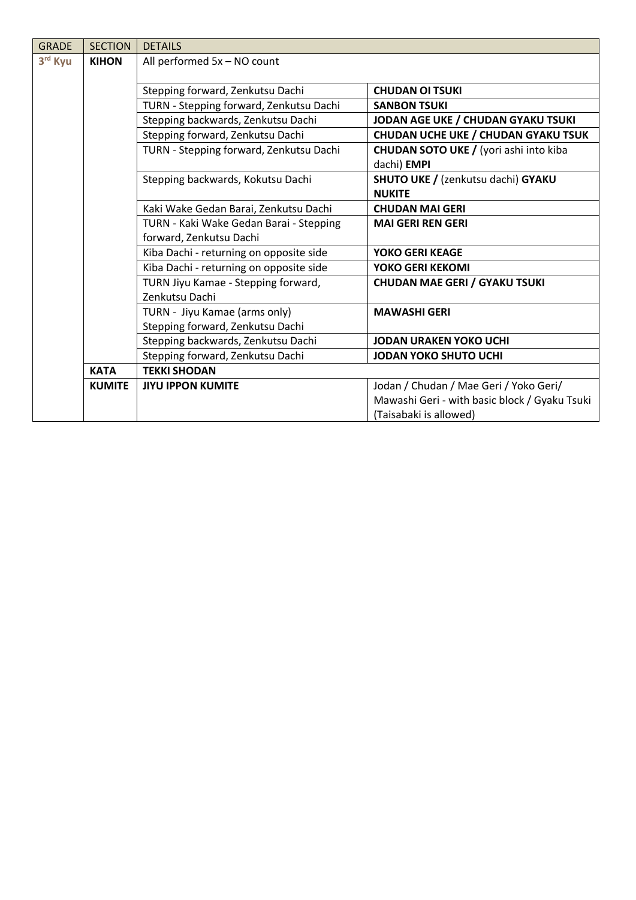| <b>GRADE</b> | <b>SECTION</b> | <b>DETAILS</b>                          |                                                               |
|--------------|----------------|-----------------------------------------|---------------------------------------------------------------|
| 3rd Kyu      | <b>KIHON</b>   | All performed 5x - NO count             |                                                               |
|              |                |                                         |                                                               |
|              |                | Stepping forward, Zenkutsu Dachi        | <b>CHUDAN OI TSUKI</b>                                        |
|              |                | TURN - Stepping forward, Zenkutsu Dachi | <b>SANBON TSUKI</b>                                           |
|              |                | Stepping backwards, Zenkutsu Dachi      | JODAN AGE UKE / CHUDAN GYAKU TSUKI                            |
|              |                | Stepping forward, Zenkutsu Dachi        | CHUDAN UCHE UKE / CHUDAN GYAKU TSUK                           |
|              |                | TURN - Stepping forward, Zenkutsu Dachi | <b>CHUDAN SOTO UKE / (yori ashi into kiba)</b><br>dachi) EMPI |
|              |                | Stepping backwards, Kokutsu Dachi       | SHUTO UKE / (zenkutsu dachi) GYAKU                            |
|              |                |                                         | <b>NUKITE</b>                                                 |
|              |                | Kaki Wake Gedan Barai, Zenkutsu Dachi   | <b>CHUDAN MAI GERI</b>                                        |
|              |                | TURN - Kaki Wake Gedan Barai - Stepping | <b>MAI GERI REN GERI</b>                                      |
|              |                | forward, Zenkutsu Dachi                 |                                                               |
|              |                | Kiba Dachi - returning on opposite side | <b>YOKO GERI KEAGE</b>                                        |
|              |                | Kiba Dachi - returning on opposite side | <b>YOKO GERI KEKOMI</b>                                       |
|              |                | TURN Jiyu Kamae - Stepping forward,     | <b>CHUDAN MAE GERI / GYAKU TSUKI</b>                          |
|              |                | Zenkutsu Dachi                          |                                                               |
|              |                | TURN - Jiyu Kamae (arms only)           | <b>MAWASHI GERI</b>                                           |
|              |                | Stepping forward, Zenkutsu Dachi        |                                                               |
|              |                | Stepping backwards, Zenkutsu Dachi      | <b>JODAN URAKEN YOKO UCHI</b>                                 |
|              |                | Stepping forward, Zenkutsu Dachi        | <b>JODAN YOKO SHUTO UCHI</b>                                  |
|              | <b>KATA</b>    | <b>TEKKI SHODAN</b>                     |                                                               |
|              | <b>KUMITE</b>  | <b>JIYU IPPON KUMITE</b>                | Jodan / Chudan / Mae Geri / Yoko Geri/                        |
|              |                |                                         | Mawashi Geri - with basic block / Gyaku Tsuki                 |
|              |                |                                         | (Taisabaki is allowed)                                        |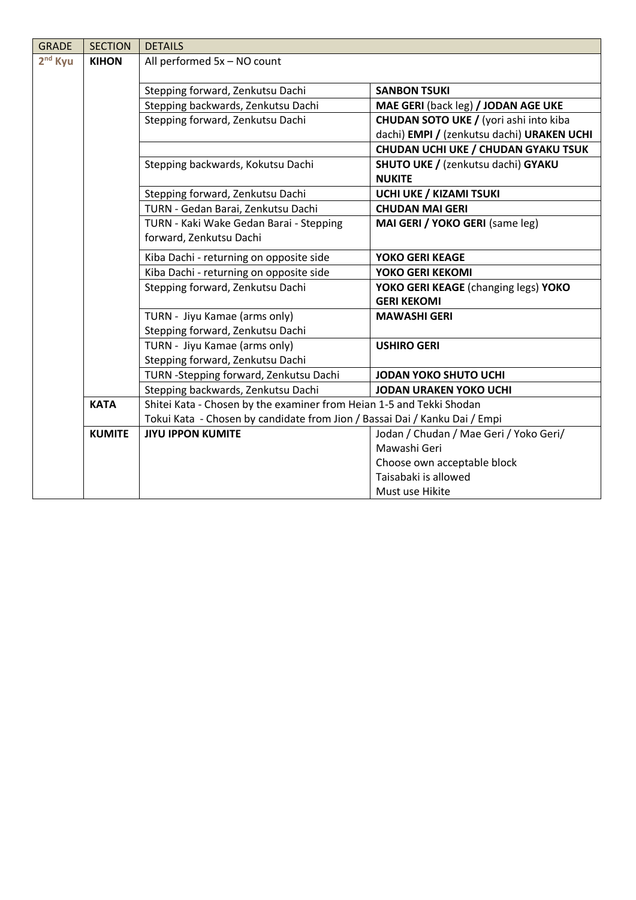| <b>GRADE</b> | <b>SECTION</b> | <b>DETAILS</b>                                                             |                                                |
|--------------|----------------|----------------------------------------------------------------------------|------------------------------------------------|
| $2nd$ Kyu    | <b>KIHON</b>   | All performed 5x - NO count                                                |                                                |
|              |                |                                                                            |                                                |
|              |                | Stepping forward, Zenkutsu Dachi                                           | <b>SANBON TSUKI</b>                            |
|              |                | Stepping backwards, Zenkutsu Dachi                                         | MAE GERI (back leg) / JODAN AGE UKE            |
|              |                | Stepping forward, Zenkutsu Dachi                                           | <b>CHUDAN SOTO UKE / (yori ashi into kiba)</b> |
|              |                |                                                                            | dachi) EMPI / (zenkutsu dachi) URAKEN UCHI     |
|              |                |                                                                            | CHUDAN UCHI UKE / CHUDAN GYAKU TSUK            |
|              |                | Stepping backwards, Kokutsu Dachi                                          | SHUTO UKE / (zenkutsu dachi) GYAKU             |
|              |                |                                                                            | <b>NUKITE</b>                                  |
|              |                | Stepping forward, Zenkutsu Dachi                                           | <b>UCHI UKE / KIZAMI TSUKI</b>                 |
|              |                | TURN - Gedan Barai, Zenkutsu Dachi                                         | <b>CHUDAN MAI GERI</b>                         |
|              |                | TURN - Kaki Wake Gedan Barai - Stepping                                    | MAI GERI / YOKO GERI (same leg)                |
|              |                | forward, Zenkutsu Dachi                                                    |                                                |
|              |                | Kiba Dachi - returning on opposite side                                    | <b>YOKO GERI KEAGE</b>                         |
|              |                | Kiba Dachi - returning on opposite side                                    | YOKO GERI KEKOMI                               |
|              |                | Stepping forward, Zenkutsu Dachi                                           | YOKO GERI KEAGE (changing legs) YOKO           |
|              |                |                                                                            | <b>GERI KEKOMI</b>                             |
|              |                | TURN - Jiyu Kamae (arms only)                                              | <b>MAWASHI GERI</b>                            |
|              |                | Stepping forward, Zenkutsu Dachi                                           |                                                |
|              |                | TURN - Jiyu Kamae (arms only)                                              | <b>USHIRO GERI</b>                             |
|              |                | Stepping forward, Zenkutsu Dachi                                           |                                                |
|              |                | TURN - Stepping forward, Zenkutsu Dachi                                    | <b>JODAN YOKO SHUTO UCHI</b>                   |
|              |                | Stepping backwards, Zenkutsu Dachi                                         | <b>JODAN URAKEN YOKO UCHI</b>                  |
|              | <b>KATA</b>    | Shitei Kata - Chosen by the examiner from Heian 1-5 and Tekki Shodan       |                                                |
|              |                | Tokui Kata - Chosen by candidate from Jion / Bassai Dai / Kanku Dai / Empi |                                                |
|              | <b>KUMITE</b>  | <b>JIYU IPPON KUMITE</b>                                                   | Jodan / Chudan / Mae Geri / Yoko Geri/         |
|              |                |                                                                            | Mawashi Geri                                   |
|              |                |                                                                            | Choose own acceptable block                    |
|              |                |                                                                            | Taisabaki is allowed                           |
|              |                |                                                                            | Must use Hikite                                |